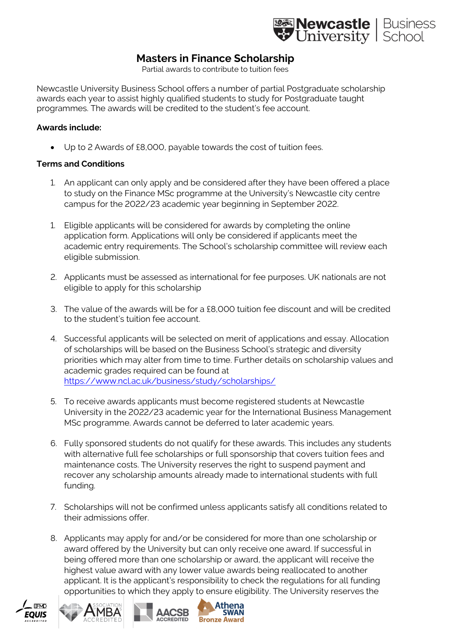

## **Masters in Finance Scholarship**

Partial awards to contribute to tuition fees

Newcastle University Business School offers a number of partial Postgraduate scholarship awards each year to assist highly qualified students to study for Postgraduate taught programmes. The awards will be credited to the student's fee account.

## **Awards include:**

• Up to 2 Awards of £8,000, payable towards the cost of tuition fees.

## **Terms and Conditions**

- 1. An applicant can only apply and be considered after they have been offered a place to study on the Finance MSc programme at the University's Newcastle city centre campus for the 2022/23 academic year beginning in September 2022.
- 1. Eligible applicants will be considered for awards by completing the online application form. Applications will only be considered if applicants meet the academic entry requirements. The School's scholarship committee will review each eligible submission.
- 2. Applicants must be assessed as international for fee purposes. UK nationals are not eligible to apply for this scholarship
- 3. The value of the awards will be for a £8,000 tuition fee discount and will be credited to the student's tuition fee account.
- 4. Successful applicants will be selected on merit of applications and essay. Allocation of scholarships will be based on the Business School's strategic and diversity priorities which may alter from time to time. Further details on scholarship values and academic grades required can be found at <https://www.ncl.ac.uk/business/study/scholarships/>
- 5. To receive awards applicants must become registered students at Newcastle University in the 2022/23 academic year for the International Business Management MSc programme. Awards cannot be deferred to later academic years.
- 6. Fully sponsored students do not qualify for these awards. This includes any students with alternative full fee scholarships or full sponsorship that covers tuition fees and maintenance costs. The University reserves the right to suspend payment and recover any scholarship amounts already made to international students with full funding.
- 7. Scholarships will not be confirmed unless applicants satisfy all conditions related to their admissions offer.
- 8. Applicants may apply for and/or be considered for more than one scholarship or award offered by the University but can only receive one award. If successful in being offered more than one scholarship or award, the applicant will receive the highest value award with any lower value awards being reallocated to another applicant. It is the applicant's responsibility to check the regulations for all funding opportunities to which they apply to ensure eligibility. The University reserves the